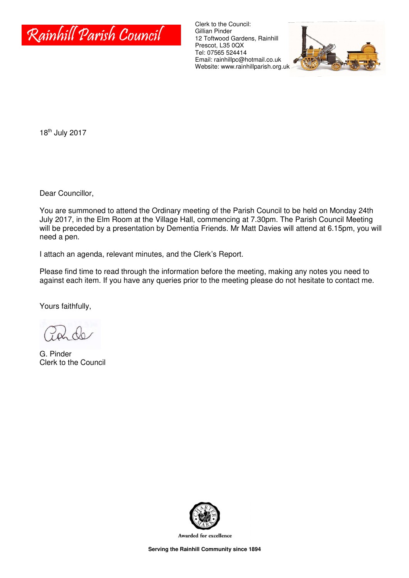

Clerk to the Council: Gillian Pinder 12 Toftwood Gardens, Rainhill Prescot, L35 0QX Tel: 07565 524414 Email: rainhillpc@hotmail.co.uk Website: www.rainhillparish.org.uk



18th July 2017

Dear Councillor,

You are summoned to attend the Ordinary meeting of the Parish Council to be held on Monday 24th July 2017, in the Elm Room at the Village Hall, commencing at 7.30pm. The Parish Council Meeting will be preceded by a presentation by Dementia Friends. Mr Matt Davies will attend at 6.15pm, you will need a pen.

I attach an agenda, relevant minutes, and the Clerk's Report.

Please find time to read through the information before the meeting, making any notes you need to against each item. If you have any queries prior to the meeting please do not hesitate to contact me.

Yours faithfully,

G. Pinder Clerk to the Council



Awarded for excellence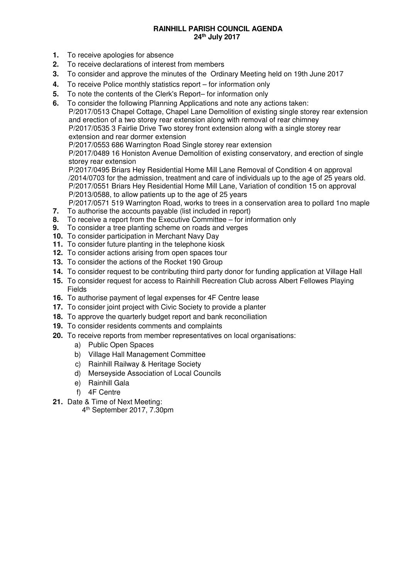#### **RAINHILL PARISH COUNCIL AGENDA 24th July 2017**

- **1.** To receive apologies for absence
- **2.** To receive declarations of interest from members
- **3.** To consider and approve the minutes of the Ordinary Meeting held on 19th June 2017
- **4.** To receive Police monthly statistics report for information only
- **5.** To note the contents of the Clerk's Report– for information only
- **6.** To consider the following Planning Applications and note any actions taken: P/2017/0513 Chapel Cottage, Chapel Lane Demolition of existing single storey rear extension and erection of a two storey rear extension along with removal of rear chimney P/2017/0535 3 Fairlie Drive Two storey front extension along with a single storey rear extension and rear dormer extension
	- P/2017/0553 686 Warrington Road Single storey rear extension

P/2017/0489 16 Honiston Avenue Demolition of existing conservatory, and erection of single storey rear extension

P/2017/0495 Briars Hey Residential Home Mill Lane Removal of Condition 4 on approval /2014/0703 for the admission, treatment and care of individuals up to the age of 25 years old. P/2017/0551 Briars Hey Residential Home Mill Lane, Variation of condition 15 on approval P/2013/0588, to allow patients up to the age of 25 years

P/2017/0571 519 Warrington Road, works to trees in a conservation area to pollard 1no maple

- **7.** To authorise the accounts payable (list included in report)<br>**8.** To receive a report from the Executive Committee for inf
- **8.** To receive a report from the Executive Committee for information only **9.** To consider a tree planting scheme on roads and verges
- **9.** To consider a tree planting scheme on roads and verges
- **10.** To consider participation in Merchant Navy Day
- **11.** To consider future planting in the telephone kiosk
- **12.** To consider actions arising from open spaces tour
- **13.** To consider the actions of the Rocket 190 Group
- **14.** To consider request to be contributing third party donor for funding application at Village Hall
- **15.** To consider request for access to Rainhill Recreation Club across Albert Fellowes Playing Fields
- **16.** To authorise payment of legal expenses for 4F Centre lease
- **17.** To consider joint project with Civic Society to provide a planter
- **18.** To approve the quarterly budget report and bank reconciliation
- **19.** To consider residents comments and complaints
- **20.** To receive reports from member representatives on local organisations:
	- a) Public Open Spaces
	- b) Village Hall Management Committee
	- c) Rainhill Railway & Heritage Society
	- d) Merseyside Association of Local Councils
	- e) Rainhill Gala
	- f) 4F Centre
- **21.** Date & Time of Next Meeting:
	- 4 th September 2017, 7.30pm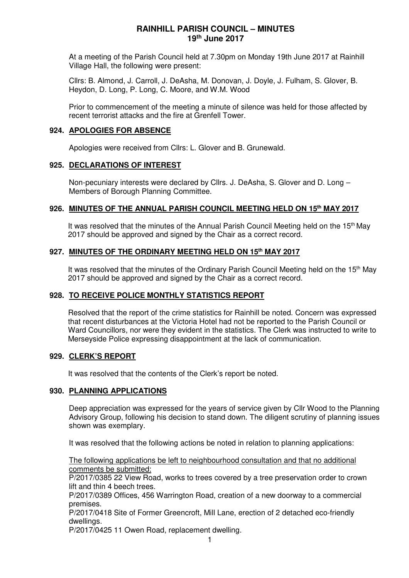At a meeting of the Parish Council held at 7.30pm on Monday 19th June 2017 at Rainhill Village Hall, the following were present:

Cllrs: B. Almond, J. Carroll, J. DeAsha, M. Donovan, J. Doyle, J. Fulham, S. Glover, B. Heydon, D. Long, P. Long, C. Moore, and W.M. Wood

Prior to commencement of the meeting a minute of silence was held for those affected by recent terrorist attacks and the fire at Grenfell Tower.

#### **924. APOLOGIES FOR ABSENCE**

Apologies were received from Cllrs: L. Glover and B. Grunewald.

#### **925. DECLARATIONS OF INTEREST**

Non-pecuniary interests were declared by Cllrs. J. DeAsha, S. Glover and D. Long – Members of Borough Planning Committee.

#### **926. MINUTES OF THE ANNUAL PARISH COUNCIL MEETING HELD ON 15th MAY 2017**

It was resolved that the minutes of the Annual Parish Council Meeting held on the 15<sup>th</sup> May 2017 should be approved and signed by the Chair as a correct record.

### **927. MINUTES OF THE ORDINARY MEETING HELD ON 15th MAY 2017**

It was resolved that the minutes of the Ordinary Parish Council Meeting held on the 15<sup>th</sup> May 2017 should be approved and signed by the Chair as a correct record.

### **928. TO RECEIVE POLICE MONTHLY STATISTICS REPORT**

Resolved that the report of the crime statistics for Rainhill be noted. Concern was expressed that recent disturbances at the Victoria Hotel had not be reported to the Parish Council or Ward Councillors, nor were they evident in the statistics. The Clerk was instructed to write to Merseyside Police expressing disappointment at the lack of communication.

#### **929. CLERK'S REPORT**

It was resolved that the contents of the Clerk's report be noted.

#### **930. PLANNING APPLICATIONS**

Deep appreciation was expressed for the years of service given by Cllr Wood to the Planning Advisory Group, following his decision to stand down. The diligent scrutiny of planning issues shown was exemplary.

It was resolved that the following actions be noted in relation to planning applications:

The following applications be left to neighbourhood consultation and that no additional comments be submitted:

P/2017/0385 22 View Road, works to trees covered by a tree preservation order to crown lift and thin 4 beech trees.

P/2017/0389 Offices, 456 Warrington Road, creation of a new doorway to a commercial premises.

P/2017/0418 Site of Former Greencroft, Mill Lane, erection of 2 detached eco-friendly dwellings.

P/2017/0425 11 Owen Road, replacement dwelling.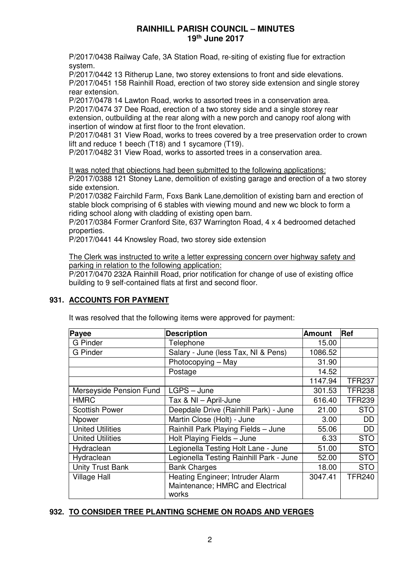P/2017/0438 Railway Cafe, 3A Station Road, re-siting of existing flue for extraction system.

P/2017/0442 13 Ritherup Lane, two storey extensions to front and side elevations. P/2017/0451 158 Rainhill Road, erection of two storey side extension and single storey rear extension.

P/2017/0478 14 Lawton Road, works to assorted trees in a conservation area. P/2017/0474 37 Dee Road, erection of a two storey side and a single storey rear

extension, outbuilding at the rear along with a new porch and canopy roof along with insertion of window at first floor to the front elevation.

P/2017/0481 31 View Road, works to trees covered by a tree preservation order to crown lift and reduce 1 beech (T18) and 1 sycamore (T19).

P/2017/0482 31 View Road, works to assorted trees in a conservation area.

### It was noted that objections had been submitted to the following applications:

P/2017/0388 121 Stoney Lane, demolition of existing garage and erection of a two storey side extension.

P/2017/0382 Fairchild Farm, Foxs Bank Lane,demolition of existing barn and erection of stable block comprising of 6 stables with viewing mound and new wc block to form a riding school along with cladding of existing open barn.

P/2017/0384 Former Cranford Site, 637 Warrington Road, 4 x 4 bedroomed detached properties.

P/2017/0441 44 Knowsley Road, two storey side extension

The Clerk was instructed to write a letter expressing concern over highway safety and parking in relation to the following application:

P/2017/0470 232A Rainhill Road, prior notification for change of use of existing office building to 9 self-contained flats at first and second floor.

# **931. ACCOUNTS FOR PAYMENT**

It was resolved that the following items were approved for payment:

| Payee                   | <b>Description</b>                                                            | <b>Amount</b> | Ref           |
|-------------------------|-------------------------------------------------------------------------------|---------------|---------------|
| <b>G</b> Pinder         | Telephone                                                                     | 15.00         |               |
| <b>G</b> Pinder         | Salary - June (less Tax, NI & Pens)                                           | 1086.52       |               |
|                         | Photocopying - May                                                            | 31.90         |               |
|                         | Postage                                                                       | 14.52         |               |
|                         |                                                                               | 1147.94       | <b>TFR237</b> |
| Merseyside Pension Fund | LGPS - June                                                                   | 301.53        | <b>TFR238</b> |
| <b>HMRC</b>             | Tax & NI - April-June                                                         | 616.40        | <b>TFR239</b> |
| <b>Scottish Power</b>   | Deepdale Drive (Rainhill Park) - June                                         | 21.00         | <b>STO</b>    |
| Npower                  | Martin Close (Holt) - June                                                    | 3.00          | DD            |
| <b>United Utilities</b> | Rainhill Park Playing Fields - June                                           | 55.06         | DD            |
| <b>United Utilities</b> | Holt Playing Fields - June                                                    | 6.33          | <b>STO</b>    |
| Hydraclean              | Legionella Testing Holt Lane - June                                           | 51.00         | <b>STO</b>    |
| Hydraclean              | Legionella Testing Rainhill Park - June                                       | 52.00         | <b>STO</b>    |
| <b>Unity Trust Bank</b> | <b>Bank Charges</b>                                                           | 18.00         | <b>STO</b>    |
| <b>Village Hall</b>     | Heating Engineer; Intruder Alarm<br>Maintenance; HMRC and Electrical<br>works | 3047.41       | <b>TFR240</b> |

# **932. TO CONSIDER TREE PLANTING SCHEME ON ROADS AND VERGES**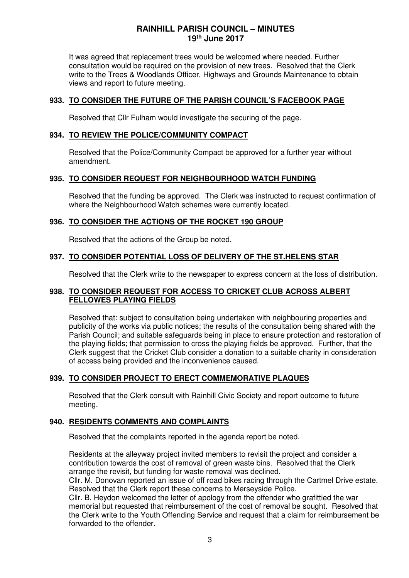It was agreed that replacement trees would be welcomed where needed. Further consultation would be required on the provision of new trees. Resolved that the Clerk write to the Trees & Woodlands Officer, Highways and Grounds Maintenance to obtain views and report to future meeting.

### **933. TO CONSIDER THE FUTURE OF THE PARISH COUNCIL'S FACEBOOK PAGE**

Resolved that Cllr Fulham would investigate the securing of the page.

#### **934. TO REVIEW THE POLICE/COMMUNITY COMPACT**

Resolved that the Police/Community Compact be approved for a further year without amendment.

### **935. TO CONSIDER REQUEST FOR NEIGHBOURHOOD WATCH FUNDING**

Resolved that the funding be approved. The Clerk was instructed to request confirmation of where the Neighbourhood Watch schemes were currently located.

### **936. TO CONSIDER THE ACTIONS OF THE ROCKET 190 GROUP**

Resolved that the actions of the Group be noted.

### **937. TO CONSIDER POTENTIAL LOSS OF DELIVERY OF THE ST.HELENS STAR**

Resolved that the Clerk write to the newspaper to express concern at the loss of distribution.

### **938. TO CONSIDER REQUEST FOR ACCESS TO CRICKET CLUB ACROSS ALBERT FELLOWES PLAYING FIELDS**

Resolved that: subject to consultation being undertaken with neighbouring properties and publicity of the works via public notices; the results of the consultation being shared with the Parish Council; and suitable safeguards being in place to ensure protection and restoration of the playing fields; that permission to cross the playing fields be approved. Further, that the Clerk suggest that the Cricket Club consider a donation to a suitable charity in consideration of access being provided and the inconvenience caused.

### **939. TO CONSIDER PROJECT TO ERECT COMMEMORATIVE PLAQUES**

Resolved that the Clerk consult with Rainhill Civic Society and report outcome to future meeting.

### **940. RESIDENTS COMMENTS AND COMPLAINTS**

Resolved that the complaints reported in the agenda report be noted.

Residents at the alleyway project invited members to revisit the project and consider a contribution towards the cost of removal of green waste bins. Resolved that the Clerk arrange the revisit, but funding for waste removal was declined.

Cllr. M. Donovan reported an issue of off road bikes racing through the Cartmel Drive estate. Resolved that the Clerk report these concerns to Merseyside Police.

Cllr. B. Heydon welcomed the letter of apology from the offender who grafittied the war memorial but requested that reimbursement of the cost of removal be sought. Resolved that the Clerk write to the Youth Offending Service and request that a claim for reimbursement be forwarded to the offender.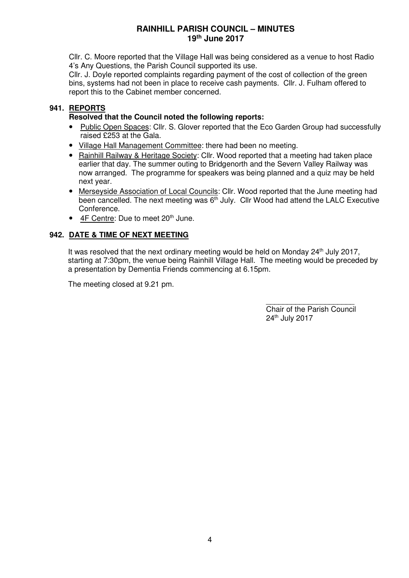Cllr. C. Moore reported that the Village Hall was being considered as a venue to host Radio 4's Any Questions, the Parish Council supported its use.

Cllr. J. Doyle reported complaints regarding payment of the cost of collection of the green bins, systems had not been in place to receive cash payments. Cllr. J. Fulham offered to report this to the Cabinet member concerned.

# **941. REPORTS**

### **Resolved that the Council noted the following reports:**

- Public Open Spaces: Cllr. S. Glover reported that the Eco Garden Group had successfully raised £253 at the Gala.
- Village Hall Management Committee: there had been no meeting.
- Rainhill Railway & Heritage Society: Cllr. Wood reported that a meeting had taken place earlier that day. The summer outing to Bridgenorth and the Severn Valley Railway was now arranged. The programme for speakers was being planned and a quiz may be held next year.
- Merseyside Association of Local Councils: Cllr. Wood reported that the June meeting had been cancelled. The next meeting was  $6<sup>th</sup>$  July. Cllr Wood had attend the LALC Executive Conference.
- $\bullet$  4F Centre: Due to meet 20<sup>th</sup> June.

# **942. DATE & TIME OF NEXT MEETING**

It was resolved that the next ordinary meeting would be held on Monday  $24<sup>th</sup>$  July 2017, starting at 7:30pm, the venue being Rainhill Village Hall. The meeting would be preceded by a presentation by Dementia Friends commencing at 6.15pm.

The meeting closed at 9.21 pm.

\_\_\_\_\_\_\_\_\_\_\_\_\_\_\_\_\_\_\_\_\_ Chair of the Parish Council 24th July 2017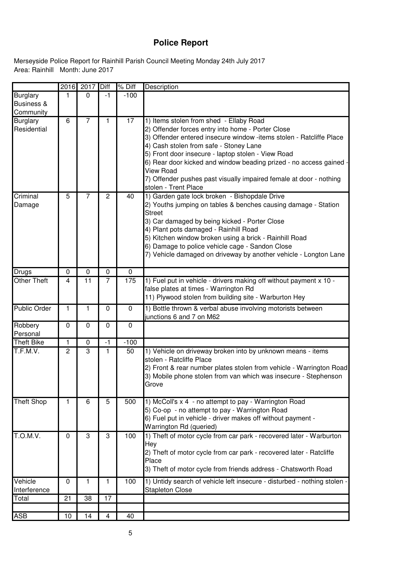# **Police Report**

Area: Rainhill Month: June 2017 Merseyside Police Report for Rainhill Parish Council Meeting Monday 24th July 2017

| <b>Burglary</b><br>$-100$<br>$\Omega$<br>$-1$<br>1<br>Business &<br>Community<br>17<br><b>Burglary</b><br>6<br>$\overline{7}$<br>1) Items stolen from shed - Ellaby Road<br>1<br>2) Offender forces entry into home - Porter Close<br>Residential<br>3) Offender entered insecure window -items stolen - Ratcliffe Place<br>4) Cash stolen from safe - Stoney Lane<br>5) Front door insecure - laptop stolen - View Road<br>6) Rear door kicked and window beading prized - no access gained<br><b>View Road</b><br>7) Offender pushes past visually impaired female at door - nothing<br>stolen - Trent Place<br>1) Garden gate lock broken - Bishopdale Drive<br>5<br>7<br>2<br>40<br>Criminal<br>2) Youths jumping on tables & benches causing damage - Station<br>Damage<br><b>Street</b><br>3) Car damaged by being kicked - Porter Close<br>4) Plant pots damaged - Rainhill Road<br>5) Kitchen window broken using a brick - Rainhill Road<br>6) Damage to police vehicle cage - Sandon Close<br>7) Vehicle damaged on driveway by another vehicle - Longton Lane<br>0<br>0<br>0<br>0<br>Drugs<br><b>Other Theft</b><br>175<br>1) Fuel put in vehicle - drivers making off without payment x 10 -<br>11<br>$\overline{7}$<br>4<br>false plates at times - Warrington Rd<br>11) Plywood stolen from building site - Warburton Hey<br>Public Order<br>1<br>0<br>1) Bottle thrown & verbal abuse involving motorists between<br>0<br>1<br>junctions 6 and 7 on M62<br>Robbery<br>0<br>0<br>0<br>0<br>Personal<br><b>Theft Bike</b><br>$-100$<br>1<br>0<br>$-1$<br>T.F.M.V.<br>50<br>3<br>1) Vehicle on driveway broken into by unknown means - items<br>$\overline{c}$<br>1<br>stolen - Ratcliffe Place<br>3) Mobile phone stolen from van which was insecure - Stephenson<br>Grove<br>1) McColl's x 4 - no attempt to pay - Warrington Road<br><b>Theft Shop</b><br>5<br>500<br>1<br>6<br>5) Co-op - no attempt to pay - Warrington Road<br>6) Fuel put in vehicle - driver makes off without payment -<br>Warrington Rd (queried)<br>T.O.M.V.<br>1) Theft of motor cycle from car park - recovered later - Warburton<br>100<br>3<br>3<br>0<br>Hey<br>2) Theft of motor cycle from car park - recovered later - Ratcliffe<br>Place<br>3) Theft of motor cycle from friends address - Chatsworth Road<br>Vehicle<br>100<br>1) Untidy search of vehicle left insecure - disturbed - nothing stolen -<br>0<br>1<br>1<br>Interference<br><b>Stapleton Close</b><br>17<br>Total<br>21<br>38<br><b>ASB</b><br>10<br>14<br>40<br>4 | 2016 | 2017 | Diff | % Diff | Description                                                         |
|----------------------------------------------------------------------------------------------------------------------------------------------------------------------------------------------------------------------------------------------------------------------------------------------------------------------------------------------------------------------------------------------------------------------------------------------------------------------------------------------------------------------------------------------------------------------------------------------------------------------------------------------------------------------------------------------------------------------------------------------------------------------------------------------------------------------------------------------------------------------------------------------------------------------------------------------------------------------------------------------------------------------------------------------------------------------------------------------------------------------------------------------------------------------------------------------------------------------------------------------------------------------------------------------------------------------------------------------------------------------------------------------------------------------------------------------------------------------------------------------------------------------------------------------------------------------------------------------------------------------------------------------------------------------------------------------------------------------------------------------------------------------------------------------------------------------------------------------------------------------------------------------------------------------------------------------------------------------------------------------------------------------------------------------------------------------------------------------------------------------------------------------------------------------------------------------------------------------------------------------------------------------------------------------------------------------------------------------------------------------------------------------------------------------------------------------------------------------------------------------------------------------------------|------|------|------|--------|---------------------------------------------------------------------|
|                                                                                                                                                                                                                                                                                                                                                                                                                                                                                                                                                                                                                                                                                                                                                                                                                                                                                                                                                                                                                                                                                                                                                                                                                                                                                                                                                                                                                                                                                                                                                                                                                                                                                                                                                                                                                                                                                                                                                                                                                                                                                                                                                                                                                                                                                                                                                                                                                                                                                                                                  |      |      |      |        |                                                                     |
|                                                                                                                                                                                                                                                                                                                                                                                                                                                                                                                                                                                                                                                                                                                                                                                                                                                                                                                                                                                                                                                                                                                                                                                                                                                                                                                                                                                                                                                                                                                                                                                                                                                                                                                                                                                                                                                                                                                                                                                                                                                                                                                                                                                                                                                                                                                                                                                                                                                                                                                                  |      |      |      |        |                                                                     |
|                                                                                                                                                                                                                                                                                                                                                                                                                                                                                                                                                                                                                                                                                                                                                                                                                                                                                                                                                                                                                                                                                                                                                                                                                                                                                                                                                                                                                                                                                                                                                                                                                                                                                                                                                                                                                                                                                                                                                                                                                                                                                                                                                                                                                                                                                                                                                                                                                                                                                                                                  |      |      |      |        |                                                                     |
|                                                                                                                                                                                                                                                                                                                                                                                                                                                                                                                                                                                                                                                                                                                                                                                                                                                                                                                                                                                                                                                                                                                                                                                                                                                                                                                                                                                                                                                                                                                                                                                                                                                                                                                                                                                                                                                                                                                                                                                                                                                                                                                                                                                                                                                                                                                                                                                                                                                                                                                                  |      |      |      |        |                                                                     |
|                                                                                                                                                                                                                                                                                                                                                                                                                                                                                                                                                                                                                                                                                                                                                                                                                                                                                                                                                                                                                                                                                                                                                                                                                                                                                                                                                                                                                                                                                                                                                                                                                                                                                                                                                                                                                                                                                                                                                                                                                                                                                                                                                                                                                                                                                                                                                                                                                                                                                                                                  |      |      |      |        |                                                                     |
|                                                                                                                                                                                                                                                                                                                                                                                                                                                                                                                                                                                                                                                                                                                                                                                                                                                                                                                                                                                                                                                                                                                                                                                                                                                                                                                                                                                                                                                                                                                                                                                                                                                                                                                                                                                                                                                                                                                                                                                                                                                                                                                                                                                                                                                                                                                                                                                                                                                                                                                                  |      |      |      |        |                                                                     |
|                                                                                                                                                                                                                                                                                                                                                                                                                                                                                                                                                                                                                                                                                                                                                                                                                                                                                                                                                                                                                                                                                                                                                                                                                                                                                                                                                                                                                                                                                                                                                                                                                                                                                                                                                                                                                                                                                                                                                                                                                                                                                                                                                                                                                                                                                                                                                                                                                                                                                                                                  |      |      |      |        |                                                                     |
|                                                                                                                                                                                                                                                                                                                                                                                                                                                                                                                                                                                                                                                                                                                                                                                                                                                                                                                                                                                                                                                                                                                                                                                                                                                                                                                                                                                                                                                                                                                                                                                                                                                                                                                                                                                                                                                                                                                                                                                                                                                                                                                                                                                                                                                                                                                                                                                                                                                                                                                                  |      |      |      |        |                                                                     |
|                                                                                                                                                                                                                                                                                                                                                                                                                                                                                                                                                                                                                                                                                                                                                                                                                                                                                                                                                                                                                                                                                                                                                                                                                                                                                                                                                                                                                                                                                                                                                                                                                                                                                                                                                                                                                                                                                                                                                                                                                                                                                                                                                                                                                                                                                                                                                                                                                                                                                                                                  |      |      |      |        | 2) Front & rear number plates stolen from vehicle - Warrington Road |
|                                                                                                                                                                                                                                                                                                                                                                                                                                                                                                                                                                                                                                                                                                                                                                                                                                                                                                                                                                                                                                                                                                                                                                                                                                                                                                                                                                                                                                                                                                                                                                                                                                                                                                                                                                                                                                                                                                                                                                                                                                                                                                                                                                                                                                                                                                                                                                                                                                                                                                                                  |      |      |      |        |                                                                     |
|                                                                                                                                                                                                                                                                                                                                                                                                                                                                                                                                                                                                                                                                                                                                                                                                                                                                                                                                                                                                                                                                                                                                                                                                                                                                                                                                                                                                                                                                                                                                                                                                                                                                                                                                                                                                                                                                                                                                                                                                                                                                                                                                                                                                                                                                                                                                                                                                                                                                                                                                  |      |      |      |        |                                                                     |
|                                                                                                                                                                                                                                                                                                                                                                                                                                                                                                                                                                                                                                                                                                                                                                                                                                                                                                                                                                                                                                                                                                                                                                                                                                                                                                                                                                                                                                                                                                                                                                                                                                                                                                                                                                                                                                                                                                                                                                                                                                                                                                                                                                                                                                                                                                                                                                                                                                                                                                                                  |      |      |      |        |                                                                     |
|                                                                                                                                                                                                                                                                                                                                                                                                                                                                                                                                                                                                                                                                                                                                                                                                                                                                                                                                                                                                                                                                                                                                                                                                                                                                                                                                                                                                                                                                                                                                                                                                                                                                                                                                                                                                                                                                                                                                                                                                                                                                                                                                                                                                                                                                                                                                                                                                                                                                                                                                  |      |      |      |        |                                                                     |
|                                                                                                                                                                                                                                                                                                                                                                                                                                                                                                                                                                                                                                                                                                                                                                                                                                                                                                                                                                                                                                                                                                                                                                                                                                                                                                                                                                                                                                                                                                                                                                                                                                                                                                                                                                                                                                                                                                                                                                                                                                                                                                                                                                                                                                                                                                                                                                                                                                                                                                                                  |      |      |      |        |                                                                     |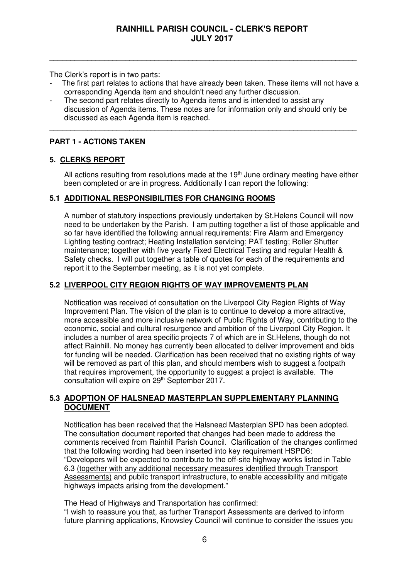The Clerk's report is in two parts:

The first part relates to actions that have already been taken. These items will not have a corresponding Agenda item and shouldn't need any further discussion.

\_\_\_\_\_\_\_\_\_\_\_\_\_\_\_\_\_\_\_\_\_\_\_\_\_\_\_\_\_\_\_\_\_\_\_\_\_\_\_\_\_\_\_\_\_\_\_\_\_\_\_\_\_\_\_\_\_\_\_\_\_\_\_\_\_\_\_\_\_\_\_\_\_

The second part relates directly to Agenda items and is intended to assist any discussion of Agenda items. These notes are for information only and should only be discussed as each Agenda item is reached.

\_\_\_\_\_\_\_\_\_\_\_\_\_\_\_\_\_\_\_\_\_\_\_\_\_\_\_\_\_\_\_\_\_\_\_\_\_\_\_\_\_\_\_\_\_\_\_\_\_\_\_\_\_\_\_\_\_\_\_\_\_\_\_\_\_\_\_\_\_\_\_\_\_

### **PART 1 - ACTIONS TAKEN**

### **5. CLERKS REPORT**

All actions resulting from resolutions made at the  $19<sup>th</sup>$  June ordinary meeting have either been completed or are in progress. Additionally I can report the following:

### **5.1 ADDITIONAL RESPONSIBILITIES FOR CHANGING ROOMS**

A number of statutory inspections previously undertaken by St.Helens Council will now need to be undertaken by the Parish. I am putting together a list of those applicable and so far have identified the following annual requirements: Fire Alarm and Emergency Lighting testing contract; Heating Installation servicing; PAT testing; Roller Shutter maintenance; together with five yearly Fixed Electrical Testing and regular Health & Safety checks. I will put together a table of quotes for each of the requirements and report it to the September meeting, as it is not yet complete.

### **5.2 LIVERPOOL CITY REGION RIGHTS OF WAY IMPROVEMENTS PLAN**

Notification was received of consultation on the Liverpool City Region Rights of Way Improvement Plan. The vision of the plan is to continue to develop a more attractive, more accessible and more inclusive network of Public Rights of Way, contributing to the economic, social and cultural resurgence and ambition of the Liverpool City Region. It includes a number of area specific projects 7 of which are in St.Helens, though do not affect Rainhill. No money has currently been allocated to deliver improvement and bids for funding will be needed. Clarification has been received that no existing rights of way will be removed as part of this plan, and should members wish to suggest a footpath that requires improvement, the opportunity to suggest a project is available. The consultation will expire on 29<sup>th</sup> September 2017.

# **5.3 ADOPTION OF HALSNEAD MASTERPLAN SUPPLEMENTARY PLANNING DOCUMENT**

Notification has been received that the Halsnead Masterplan SPD has been adopted. The consultation document reported that changes had been made to address the comments received from Rainhill Parish Council. Clarification of the changes confirmed that the following wording had been inserted into key requirement HSPD6: "Developers will be expected to contribute to the off-site highway works listed in Table 6.3 (together with any additional necessary measures identified through Transport Assessments) and public transport infrastructure, to enable accessibility and mitigate highways impacts arising from the development."

The Head of Highways and Transportation has confirmed: "I wish to reassure you that, as further Transport Assessments are derived to inform future planning applications, Knowsley Council will continue to consider the issues you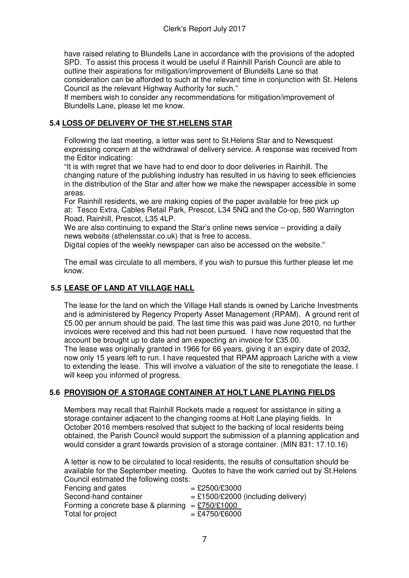have raised relating to Blundells Lane in accordance with the provisions of the adopted SPD. To assist this process it would be useful if Rainhill Parish Council are able to outline their aspirations for mitigation/improvement of Blundells Lane so that consideration can be afforded to such at the relevant time in conjunction with St. Helens Council as the relevant Highway Authority for such."

If members wish to consider any recommendations for mitigation/improvement of Blundells Lane, please let me know.

# **5.4 LOSS OF DELIVERY OF THE ST.HELENS STAR**

Following the last meeting, a letter was sent to St.Helens Star and to Newsquest expressing concern at the withdrawal of delivery service. A response was received from the Editor indicating:

"It is with regret that we have had to end door to door deliveries in Rainhill. The changing nature of the publishing industry has resulted in us having to seek efficiencies in the distribution of the Star and alter how we make the newspaper accessible in some areas.

For Rainhill residents, we are making copies of the paper available for free pick up at: Tesco Extra, Cables Retail Park, Prescot, L34 5NQ and the Co-op, 580 Warrington Road, Rainhill, Prescot, L35 4LP.

We are also continuing to expand the Star's online news service – providing a daily news website (sthelensstar.co.uk) that is free to access.

Digital copies of the weekly newspaper can also be accessed on the website."

The email was circulate to all members, if you wish to pursue this further please let me know.

# **5.5 LEASE OF LAND AT VILLAGE HALL**

The lease for the land on which the Village Hall stands is owned by Lariche Investments and is administered by Regency Property Asset Management (RPAM). A ground rent of £5.00 per annum should be paid. The last time this was paid was June 2010, no further invoices were received and this had not been pursued. I have now requested that the account be brought up to date and am expecting an invoice for £35.00. The lease was originally granted in 1966 for 66 years, giving it an expiry date of 2032, now only 15 years left to run. I have requested that RPAM approach Lariche with a view to extending the lease. This will involve a valuation of the site to renegotiate the lease. I will keep you informed of progress.

# **5.6 PROVISION OF A STORAGE CONTAINER AT HOLT LANE PLAYING FIELDS**

 Members may recall that Rainhill Rockets made a request for assistance in siting a storage container adjacent to the changing rooms at Holt Lane playing fields. In October 2016 members resolved that subject to the backing of local residents being obtained, the Parish Council would support the submission of a planning application and would consider a grant towards provision of a storage container. (MIN 831: 17.10.16)

A letter is now to be circulated to local residents, the results of consultation should be available for the September meeting. Quotes to have the work carried out by St.Helens Council estimated the following costs:

| Fencing and gates                                 | $=$ £2500/£3000                      |
|---------------------------------------------------|--------------------------------------|
| Second-hand container                             | $=$ £1500/£2000 (including delivery) |
| Forming a concrete base & planning = $£750/£1000$ |                                      |
| Total for project                                 | $=$ £4750/£6000                      |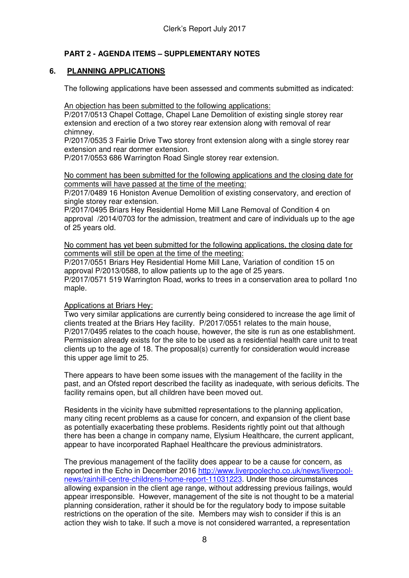# **PART 2 - AGENDA ITEMS – SUPPLEMENTARY NOTES**

# **6. PLANNING APPLICATIONS**

The following applications have been assessed and comments submitted as indicated:

An objection has been submitted to the following applications:

P/2017/0513 Chapel Cottage, Chapel Lane Demolition of existing single storey rear extension and erection of a two storey rear extension along with removal of rear chimney.

P/2017/0535 3 Fairlie Drive Two storey front extension along with a single storey rear extension and rear dormer extension.

P/2017/0553 686 Warrington Road Single storey rear extension.

No comment has been submitted for the following applications and the closing date for comments will have passed at the time of the meeting:

P/2017/0489 16 Honiston Avenue Demolition of existing conservatory, and erection of single storey rear extension.

P/2017/0495 Briars Hey Residential Home Mill Lane Removal of Condition 4 on approval /2014/0703 for the admission, treatment and care of individuals up to the age of 25 years old.

No comment has yet been submitted for the following applications, the closing date for comments will still be open at the time of the meeting:

P/2017/0551 Briars Hey Residential Home Mill Lane, Variation of condition 15 on approval P/2013/0588, to allow patients up to the age of 25 years.

P/2017/0571 519 Warrington Road, works to trees in a conservation area to pollard 1no maple.

### Applications at Briars Hey:

Two very similar applications are currently being considered to increase the age limit of clients treated at the Briars Hey facility. P/2017/0551 relates to the main house, P/2017/0495 relates to the coach house, however, the site is run as one establishment. Permission already exists for the site to be used as a residential health care unit to treat clients up to the age of 18. The proposal(s) currently for consideration would increase this upper age limit to 25.

There appears to have been some issues with the management of the facility in the past, and an Ofsted report described the facility as inadequate, with serious deficits. The facility remains open, but all children have been moved out.

Residents in the vicinity have submitted representations to the planning application, many citing recent problems as a cause for concern, and expansion of the client base as potentially exacerbating these problems. Residents rightly point out that although there has been a change in company name, Elysium Healthcare, the current applicant, appear to have incorporated Raphael Healthcare the previous administrators.

The previous management of the facility does appear to be a cause for concern, as reported in the Echo in December 2016 http://www.liverpoolecho.co.uk/news/liverpoolnews/rainhill-centre-childrens-home-report-11031223. Under those circumstances allowing expansion in the client age range, without addressing previous failings, would appear irresponsible. However, management of the site is not thought to be a material planning consideration, rather it should be for the regulatory body to impose suitable restrictions on the operation of the site. Members may wish to consider if this is an action they wish to take. If such a move is not considered warranted, a representation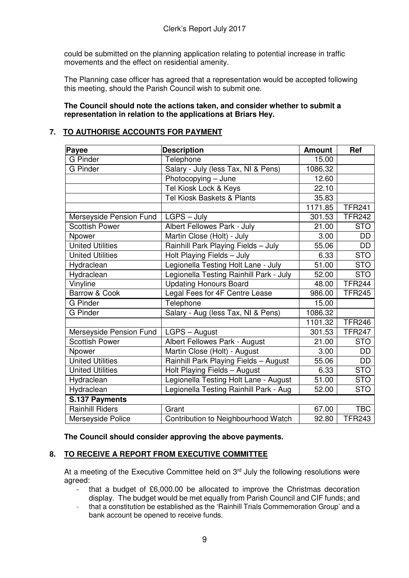could be submitted on the planning application relating to potential increase in traffic movements and the effect on residential amenity.

The Planning case officer has agreed that a representation would be accepted following this meeting, should the Parish Council wish to submit one.

### **The Council should note the actions taken, and consider whether to submit a representation in relation to the applications at Briars Hey.**

# **7. TO AUTHORISE ACCOUNTS FOR PAYMENT**

| <b>Payee</b>             | <b>Description</b>                      | <b>Amount</b> | Ref           |
|--------------------------|-----------------------------------------|---------------|---------------|
| <b>G</b> Pinder          | Telephone                               | 15.00         |               |
| <b>G</b> Pinder          | Salary - July (less Tax, NI & Pens)     | 1086.32       |               |
|                          | Photocopying - June                     | 12.60         |               |
|                          | Tel Kiosk Lock & Keys                   | 22.10         |               |
|                          | Tel Kiosk Baskets & Plants              | 35.83         |               |
|                          |                                         | 1171.85       | <b>TFR241</b> |
| Merseyside Pension Fund  | $LGPS - July$                           | 301.53        | <b>TFR242</b> |
| <b>Scottish Power</b>    | Albert Fellowes Park - July             | 21.00         | <b>STO</b>    |
| Npower                   | Martin Close (Holt) - July              | 3.00          | <b>DD</b>     |
| United Utilities         | Rainhill Park Playing Fields - July     | 55.06         | <b>DD</b>     |
| <b>United Utilities</b>  | Holt Playing Fields - July              | 6.33          | <b>STO</b>    |
| Hydraclean               | Legionella Testing Holt Lane - July     | 51.00         | <b>STO</b>    |
| Hydraclean               | Legionella Testing Rainhill Park - July | 52.00         | <b>STO</b>    |
| Vinyline                 | <b>Updating Honours Board</b>           | 48.00         | <b>TFR244</b> |
| <b>Barrow &amp; Cook</b> | Legal Fees for 4F Centre Lease          | 986.00        | <b>TFR245</b> |
| <b>G</b> Pinder          | Telephone                               | 15.00         |               |
| <b>G</b> Pinder          | Salary - Aug (less Tax, NI & Pens)      | 1086.32       |               |
|                          |                                         | 1101.32       | <b>TFR246</b> |
| Merseyside Pension Fund  | LGPS - August                           | 301.53        | <b>TFR247</b> |
| <b>Scottish Power</b>    | Albert Fellowes Park - August           | 21.00         | <b>STO</b>    |
| Npower                   | Martin Close (Holt) - August            | 3.00          | <b>DD</b>     |
| <b>United Utilities</b>  | Rainhill Park Playing Fields - August   | 55.06         | DD            |
| <b>United Utilities</b>  | Holt Playing Fields - August            | 6.33          | <b>STO</b>    |
| Hydraclean               | Legionella Testing Holt Lane - August   | 51.00         | <b>STO</b>    |
| Hydraclean               | Legionella Testing Rainhill Park - Aug  | 52.00         | <b>STO</b>    |
| S.137 Payments           |                                         |               |               |
| <b>Rainhill Riders</b>   | Grant                                   | 67.00         | <b>TBC</b>    |
| Merseyside Police        | Contribution to Neighbourhood Watch     | 92.80         | <b>TFR243</b> |

**The Council should consider approving the above payments.** 

### **8. TO RECEIVE A REPORT FROM EXECUTIVE COMMITTEE**

At a meeting of the Executive Committee held on  $3<sup>rd</sup>$  July the following resolutions were agreed:

- that a budget of £6,000.00 be allocated to improve the Christmas decoration display. The budget would be met equally from Parish Council and CIF funds; and
- that a constitution be established as the 'Rainhill Trials Commemoration Group' and a bank account be opened to receive funds.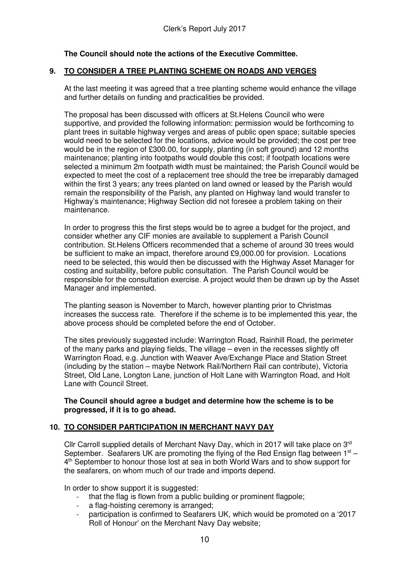# **The Council should note the actions of the Executive Committee.**

### **9. TO CONSIDER A TREE PLANTING SCHEME ON ROADS AND VERGES**

At the last meeting it was agreed that a tree planting scheme would enhance the village and further details on funding and practicalities be provided.

The proposal has been discussed with officers at St.Helens Council who were supportive, and provided the following information: permission would be forthcoming to plant trees in suitable highway verges and areas of public open space; suitable species would need to be selected for the locations, advice would be provided; the cost per tree would be in the region of £300.00, for supply, planting (in soft ground) and 12 months maintenance; planting into footpaths would double this cost; if footpath locations were selected a minimum 2m footpath width must be maintained; the Parish Council would be expected to meet the cost of a replacement tree should the tree be irreparably damaged within the first 3 years; any trees planted on land owned or leased by the Parish would remain the responsibility of the Parish, any planted on Highway land would transfer to Highway's maintenance; Highway Section did not foresee a problem taking on their maintenance.

In order to progress this the first steps would be to agree a budget for the project, and consider whether any CIF monies are available to supplement a Parish Council contribution. St.Helens Officers recommended that a scheme of around 30 trees would be sufficient to make an impact, therefore around £9,000.00 for provision. Locations need to be selected, this would then be discussed with the Highway Asset Manager for costing and suitability, before public consultation. The Parish Council would be responsible for the consultation exercise. A project would then be drawn up by the Asset Manager and implemented.

The planting season is November to March, however planting prior to Christmas increases the success rate. Therefore if the scheme is to be implemented this year, the above process should be completed before the end of October.

The sites previously suggested include: Warrington Road, Rainhill Road, the perimeter of the many parks and playing fields, The village – even in the recesses slightly off Warrington Road, e.g. Junction with Weaver Ave/Exchange Place and Station Street (including by the station – maybe Network Rail/Northern Rail can contribute), Victoria Street, Old Lane, Longton Lane, junction of Holt Lane with Warrington Road, and Holt Lane with Council Street.

#### **The Council should agree a budget and determine how the scheme is to be progressed, if it is to go ahead.**

### **10. TO CONSIDER PARTICIPATION IN MERCHANT NAVY DAY**

Cllr Carroll supplied details of Merchant Navy Day, which in 2017 will take place on 3rd September. Seafarers UK are promoting the flying of the Red Ensign flag between  $1<sup>st</sup> -$ 4<sup>th</sup> September to honour those lost at sea in both World Wars and to show support for the seafarers, on whom much of our trade and imports depend.

In order to show support it is suggested:

- that the flag is flown from a public building or prominent flagpole;
- a flag-hoisting ceremony is arranged:
- participation is confirmed to Seafarers UK, which would be promoted on a '2017 Roll of Honour' on the Merchant Navy Day website;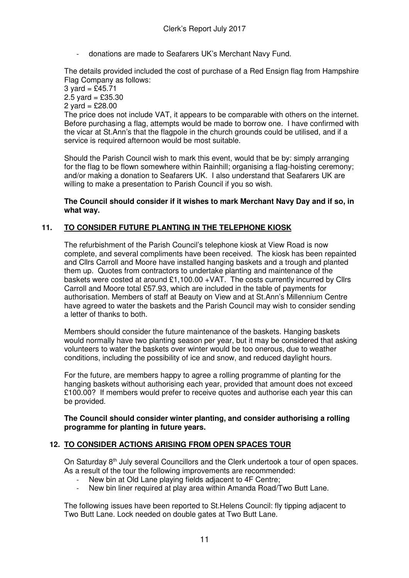- donations are made to Seafarers UK's Merchant Navy Fund.

The details provided included the cost of purchase of a Red Ensign flag from Hampshire Flag Company as follows:  $3 \text{ yard} = \frac{6}{2}45.71$  $2.5$  yard = £35.30 2 yard =  $£28.00$ The price does not include VAT, it appears to be comparable with others on the internet.

Before purchasing a flag, attempts would be made to borrow one. I have confirmed with the vicar at St.Ann's that the flagpole in the church grounds could be utilised, and if a service is required afternoon would be most suitable.

Should the Parish Council wish to mark this event, would that be by: simply arranging for the flag to be flown somewhere within Rainhill; organising a flag-hoisting ceremony; and/or making a donation to Seafarers UK. I also understand that Seafarers UK are willing to make a presentation to Parish Council if you so wish.

### **The Council should consider if it wishes to mark Merchant Navy Day and if so, in what way.**

### **11. TO CONSIDER FUTURE PLANTING IN THE TELEPHONE KIOSK**

The refurbishment of the Parish Council's telephone kiosk at View Road is now complete, and several compliments have been received. The kiosk has been repainted and Cllrs Carroll and Moore have installed hanging baskets and a trough and planted them up. Quotes from contractors to undertake planting and maintenance of the baskets were costed at around  $£1,100.00 +VAT$ . The costs currently incurred by Cllrs Carroll and Moore total £57.93, which are included in the table of payments for authorisation. Members of staff at Beauty on View and at St.Ann's Millennium Centre have agreed to water the baskets and the Parish Council may wish to consider sending a letter of thanks to both.

Members should consider the future maintenance of the baskets. Hanging baskets would normally have two planting season per year, but it may be considered that asking volunteers to water the baskets over winter would be too onerous, due to weather conditions, including the possibility of ice and snow, and reduced daylight hours.

For the future, are members happy to agree a rolling programme of planting for the hanging baskets without authorising each year, provided that amount does not exceed £100.00? If members would prefer to receive quotes and authorise each year this can be provided.

**The Council should consider winter planting, and consider authorising a rolling programme for planting in future years.** 

### **12. TO CONSIDER ACTIONS ARISING FROM OPEN SPACES TOUR**

On Saturday 8<sup>th</sup> July several Councillors and the Clerk undertook a tour of open spaces. As a result of the tour the following improvements are recommended:

- New bin at Old Lane playing fields adjacent to 4F Centre;
- New bin liner required at play area within Amanda Road/Two Butt Lane.

The following issues have been reported to St.Helens Council: fly tipping adjacent to Two Butt Lane. Lock needed on double gates at Two Butt Lane.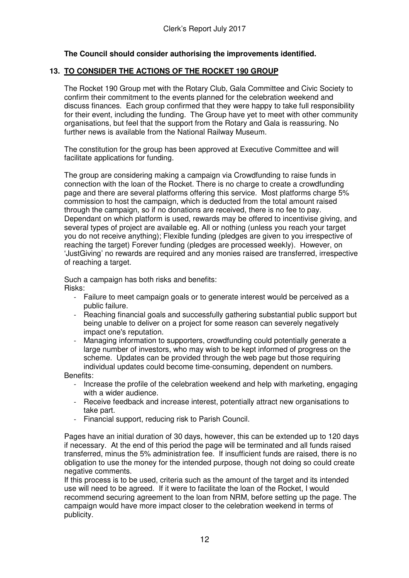### **The Council should consider authorising the improvements identified.**

### **13. TO CONSIDER THE ACTIONS OF THE ROCKET 190 GROUP**

The Rocket 190 Group met with the Rotary Club, Gala Committee and Civic Society to confirm their commitment to the events planned for the celebration weekend and discuss finances. Each group confirmed that they were happy to take full responsibility for their event, including the funding. The Group have yet to meet with other community organisations, but feel that the support from the Rotary and Gala is reassuring. No further news is available from the National Railway Museum.

The constitution for the group has been approved at Executive Committee and will facilitate applications for funding.

The group are considering making a campaign via Crowdfunding to raise funds in connection with the loan of the Rocket. There is no charge to create a crowdfunding page and there are several platforms offering this service. Most platforms charge 5% commission to host the campaign, which is deducted from the total amount raised through the campaign, so if no donations are received, there is no fee to pay. Dependant on which platform is used, rewards may be offered to incentivise giving, and several types of project are available eg. All or nothing (unless you reach your target you do not receive anything); Flexible funding (pledges are given to you irrespective of reaching the target) Forever funding (pledges are processed weekly). However, on 'JustGiving' no rewards are required and any monies raised are transferred, irrespective of reaching a target.

Such a campaign has both risks and benefits: Risks:

- Failure to meet campaign goals or to generate interest would be perceived as a public failure.
- Reaching financial goals and successfully gathering substantial public support but being unable to deliver on a project for some reason can severely negatively impact one's reputation.
- Managing information to supporters, crowdfunding could potentially generate a large number of investors, who may wish to be kept informed of progress on the scheme. Updates can be provided through the web page but those requiring individual updates could become time-consuming, dependent on numbers.

Benefits:

- Increase the profile of the celebration weekend and help with marketing, engaging with a wider audience.
- Receive feedback and increase interest, potentially attract new organisations to take part.
- Financial support, reducing risk to Parish Council.

Pages have an initial duration of 30 days, however, this can be extended up to 120 days if necessary. At the end of this period the page will be terminated and all funds raised transferred, minus the 5% administration fee. If insufficient funds are raised, there is no obligation to use the money for the intended purpose, though not doing so could create negative comments.

If this process is to be used, criteria such as the amount of the target and its intended use will need to be agreed. If it were to facilitate the loan of the Rocket, I would recommend securing agreement to the loan from NRM, before setting up the page. The campaign would have more impact closer to the celebration weekend in terms of publicity.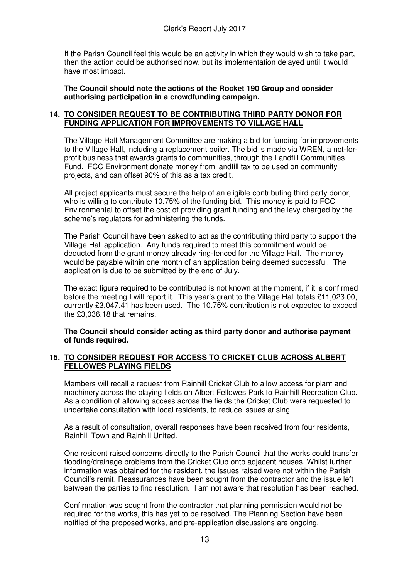If the Parish Council feel this would be an activity in which they would wish to take part, then the action could be authorised now, but its implementation delayed until it would have most impact.

**The Council should note the actions of the Rocket 190 Group and consider authorising participation in a crowdfunding campaign.** 

### **14. TO CONSIDER REQUEST TO BE CONTRIBUTING THIRD PARTY DONOR FOR FUNDING APPLICATION FOR IMPROVEMENTS TO VILLAGE HALL**

The Village Hall Management Committee are making a bid for funding for improvements to the Village Hall, including a replacement boiler. The bid is made via WREN, a not-forprofit business that awards grants to communities, through the Landfill Communities Fund. FCC Environment donate money from landfill tax to be used on community projects, and can offset 90% of this as a tax credit.

All project applicants must secure the help of an eligible contributing third party donor, who is willing to contribute 10.75% of the funding bid. This money is paid to FCC Environmental to offset the cost of providing grant funding and the levy charged by the scheme's regulators for administering the funds.

The Parish Council have been asked to act as the contributing third party to support the Village Hall application. Any funds required to meet this commitment would be deducted from the grant money already ring-fenced for the Village Hall. The money would be payable within one month of an application being deemed successful. The application is due to be submitted by the end of July.

The exact figure required to be contributed is not known at the moment, if it is confirmed before the meeting I will report it. This year's grant to the Village Hall totals £11,023.00, currently £3,047.41 has been used. The 10.75% contribution is not expected to exceed the £3,036.18 that remains.

### **The Council should consider acting as third party donor and authorise payment of funds required.**

### **15. TO CONSIDER REQUEST FOR ACCESS TO CRICKET CLUB ACROSS ALBERT FELLOWES PLAYING FIELDS**

Members will recall a request from Rainhill Cricket Club to allow access for plant and machinery across the playing fields on Albert Fellowes Park to Rainhill Recreation Club. As a condition of allowing access across the fields the Cricket Club were requested to undertake consultation with local residents, to reduce issues arising.

As a result of consultation, overall responses have been received from four residents, Rainhill Town and Rainhill United.

One resident raised concerns directly to the Parish Council that the works could transfer flooding/drainage problems from the Cricket Club onto adjacent houses. Whilst further information was obtained for the resident, the issues raised were not within the Parish Council's remit. Reassurances have been sought from the contractor and the issue left between the parties to find resolution. I am not aware that resolution has been reached.

Confirmation was sought from the contractor that planning permission would not be required for the works, this has yet to be resolved. The Planning Section have been notified of the proposed works, and pre-application discussions are ongoing.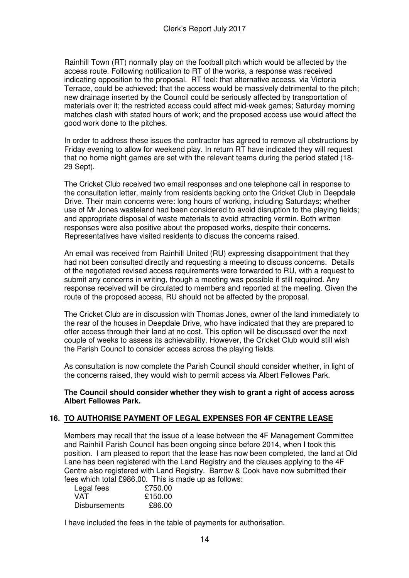Rainhill Town (RT) normally play on the football pitch which would be affected by the access route. Following notification to RT of the works, a response was received indicating opposition to the proposal. RT feel: that alternative access, via Victoria Terrace, could be achieved; that the access would be massively detrimental to the pitch; new drainage inserted by the Council could be seriously affected by transportation of materials over it; the restricted access could affect mid-week games; Saturday morning matches clash with stated hours of work; and the proposed access use would affect the good work done to the pitches.

In order to address these issues the contractor has agreed to remove all obstructions by Friday evening to allow for weekend play. In return RT have indicated they will request that no home night games are set with the relevant teams during the period stated (18- 29 Sept).

The Cricket Club received two email responses and one telephone call in response to the consultation letter, mainly from residents backing onto the Cricket Club in Deepdale Drive. Their main concerns were: long hours of working, including Saturdays; whether use of Mr Jones wasteland had been considered to avoid disruption to the playing fields; and appropriate disposal of waste materials to avoid attracting vermin. Both written responses were also positive about the proposed works, despite their concerns. Representatives have visited residents to discuss the concerns raised.

An email was received from Rainhill United (RU) expressing disappointment that they had not been consulted directly and requesting a meeting to discuss concerns. Details of the negotiated revised access requirements were forwarded to RU, with a request to submit any concerns in writing, though a meeting was possible if still required. Any response received will be circulated to members and reported at the meeting. Given the route of the proposed access, RU should not be affected by the proposal.

The Cricket Club are in discussion with Thomas Jones, owner of the land immediately to the rear of the houses in Deepdale Drive, who have indicated that they are prepared to offer access through their land at no cost. This option will be discussed over the next couple of weeks to assess its achievability. However, the Cricket Club would still wish the Parish Council to consider access across the playing fields.

As consultation is now complete the Parish Council should consider whether, in light of the concerns raised, they would wish to permit access via Albert Fellowes Park.

**The Council should consider whether they wish to grant a right of access across Albert Fellowes Park.** 

# **16. TO AUTHORISE PAYMENT OF LEGAL EXPENSES FOR 4F CENTRE LEASE**

Members may recall that the issue of a lease between the 4F Management Committee and Rainhill Parish Council has been ongoing since before 2014, when I took this position. I am pleased to report that the lease has now been completed, the land at Old Lane has been registered with the Land Registry and the clauses applying to the 4F Centre also registered with Land Registry. Barrow & Cook have now submitted their fees which total £986.00. This is made up as follows:

| Legal fees           | £750.00 |
|----------------------|---------|
| VAT                  | £150.00 |
| <b>Disbursements</b> | £86.00  |

I have included the fees in the table of payments for authorisation.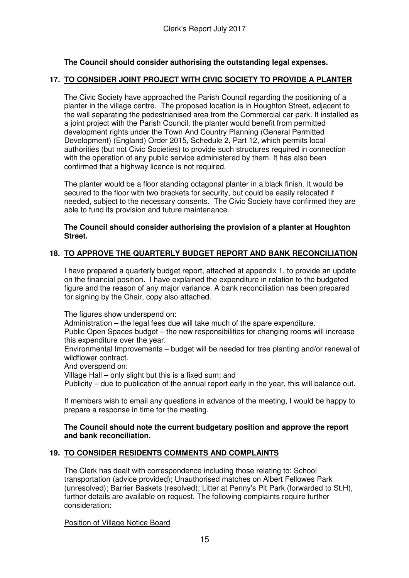# **The Council should consider authorising the outstanding legal expenses.**

### **17. TO CONSIDER JOINT PROJECT WITH CIVIC SOCIETY TO PROVIDE A PLANTER**

The Civic Society have approached the Parish Council regarding the positioning of a planter in the village centre. The proposed location is in Houghton Street, adjacent to the wall separating the pedestrianised area from the Commercial car park. If installed as a joint project with the Parish Council, the planter would benefit from permitted development rights under the Town And Country Planning (General Permitted Development) (England) Order 2015, Schedule 2, Part 12, which permits local authorities (but not Civic Societies) to provide such structures required in connection with the operation of any public service administered by them. It has also been confirmed that a highway licence is not required.

The planter would be a floor standing octagonal planter in a black finish. It would be secured to the floor with two brackets for security, but could be easily relocated if needed, subject to the necessary consents. The Civic Society have confirmed they are able to fund its provision and future maintenance.

### **The Council should consider authorising the provision of a planter at Houghton Street.**

# **18. TO APPROVE THE QUARTERLY BUDGET REPORT AND BANK RECONCILIATION**

I have prepared a quarterly budget report, attached at appendix 1, to provide an update on the financial position. I have explained the expenditure in relation to the budgeted figure and the reason of any major variance. A bank reconciliation has been prepared for signing by the Chair, copy also attached.

The figures show underspend on:

Administration – the legal fees due will take much of the spare expenditure.

Public Open Spaces budget – the new responsibilities for changing rooms will increase this expenditure over the year.

Environmental Improvements – budget will be needed for tree planting and/or renewal of wildflower contract.

And overspend on:

Village Hall – only slight but this is a fixed sum; and

Publicity – due to publication of the annual report early in the year, this will balance out.

 If members wish to email any questions in advance of the meeting, I would be happy to prepare a response in time for the meeting.

### **The Council should note the current budgetary position and approve the report and bank reconciliation.**

# **19. TO CONSIDER RESIDENTS COMMENTS AND COMPLAINTS**

The Clerk has dealt with correspondence including those relating to: School transportation (advice provided); Unauthorised matches on Albert Fellowes Park (unresolved); Barrier Baskets (resolved); Litter at Penny's Pit Park (forwarded to St.H), further details are available on request. The following complaints require further consideration:

Position of Village Notice Board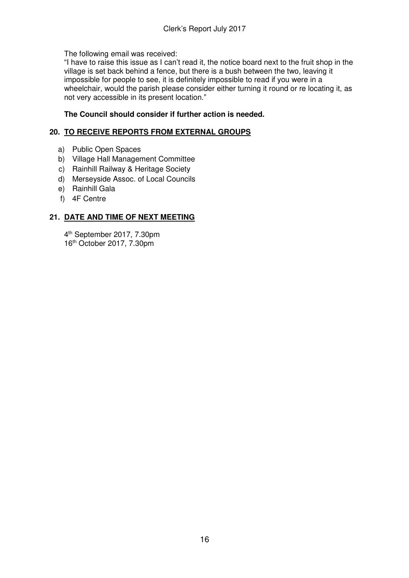The following email was received:

"I have to raise this issue as I can't read it, the notice board next to the fruit shop in the village is set back behind a fence, but there is a bush between the two, leaving it impossible for people to see, it is definitely impossible to read if you were in a wheelchair, would the parish please consider either turning it round or re locating it, as not very accessible in its present location."

# **The Council should consider if further action is needed.**

# **20. TO RECEIVE REPORTS FROM EXTERNAL GROUPS**

- a) Public Open Spaces
- b) Village Hall Management Committee
- c) Rainhill Railway & Heritage Society
- d) Merseyside Assoc. of Local Councils
- e) Rainhill Gala
- f) 4F Centre

# **21. DATE AND TIME OF NEXT MEETING**

4 th September 2017, 7.30pm 16th October 2017, 7.30pm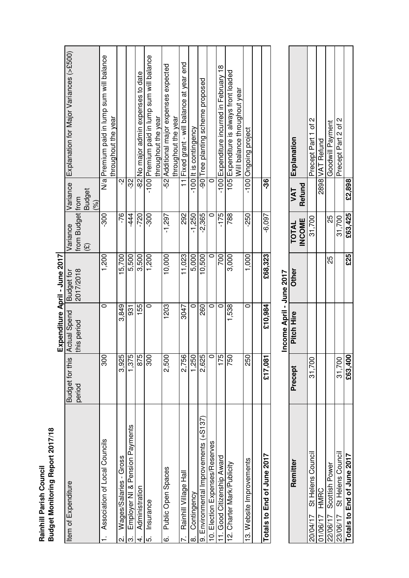Rainhill Parish Council<br>Budget Monitoring Report 2017/18 **Rainhill Parish Council** 

**Budget Monitoring Report 2017/18**

|                                       |                        |                     | Expenditure April - June 2017 |                          |                      |                                            |
|---------------------------------------|------------------------|---------------------|-------------------------------|--------------------------|----------------------|--------------------------------------------|
| Item of Expenditure                   | <b>Budget for this</b> | <b>Actual Spend</b> | <b>Budget for</b>             | Variance                 | Variance             | Explanation for Major Variances (>£500)    |
|                                       | period                 | this period         | 2017/2018                     | from Budget from         |                      |                                            |
|                                       |                        |                     |                               | $\widehat{\mathfrak{L}}$ | <b>Budget</b><br>(%) |                                            |
| Association of Local Councils         | 300                    | 0                   | 1,200                         | -300                     |                      | N/al Premium paid in lump sum will balance |
|                                       |                        |                     |                               |                          |                      | throughout the year                        |
| Wages/Salaries - Gross                | 3,925                  | 3,849               | 15,700                        | -76                      | Ņ                    |                                            |
| Employer NI & Pension Payments        | 1,375                  | 59                  | 5,500                         | -444                     | လ္က                  |                                            |
| Administration                        | 875                    | 155                 | 3.500                         | $-720$                   | 82                   | No major admin expenses to date            |
| Insurance<br><u>ທ່</u>                | 300                    | 0                   | 1,200                         | $-300$                   |                      | -100 Premium paid in lump sum will balance |
|                                       |                        |                     |                               |                          |                      | throughout the year                        |
| 6. Public Open Spaces                 | 2,500                  | 1203                | 10,000                        | $-1,297$                 |                      | -52 Additional major expenses expected     |
|                                       |                        |                     |                               |                          |                      | throughout the year                        |
| Rainhill Village Hall                 | 2,756                  | 3047                | 11,023                        | 292                      |                      | 11 Fixed grant - will balance at year end  |
| Contingency<br>ထံ                     | 1,250                  | 0                   | 5,000                         | $-1.250$                 |                      | -100 It is contingency                     |
| 9. Environmental Improvements (+S137) | 2,625                  | <b>260</b>          | 10,500                        | $-2,365$                 |                      | -90 Tree planting scheme proposed          |
| 10. Election Expenses/Reserves        | 0                      | 0                   | 0                             | C                        | c                    |                                            |
| 1. Good Citizenship Award             | 175                    | c                   | 700                           | $-175$                   |                      | -100 Expenditure incurred in February 18   |
| 12. Charter Mark/Publicity            | 750                    | 1,538               | 3,000                         | 788                      |                      | 105 Expenditure is always front loaded     |
|                                       |                        |                     |                               |                          |                      | Will balance throughout year               |
| 13. Website Improvements              | 250                    | 0                   | 1,000                         | $-250$                   |                      | -100 Ongoing project                       |
|                                       |                        |                     |                               |                          |                      |                                            |
| Totals to End of June 2017            | £17,081                | £10,984             | £68,323                       | $-6,097$                 | -36                  |                                            |
|                                       |                        |                     |                               |                          |                      |                                            |

|                            |         | ncome April - June 2017<br>$\mathbf{r}$ |       |                               |                |                     |
|----------------------------|---------|-----------------------------------------|-------|-------------------------------|----------------|---------------------|
| Remitter                   | Precept | Pitch Hire                              | Other | <b>INCOME</b><br><b>TOTAL</b> | Refund         | VAT Explanation     |
| 20/04/17 St Helens Council | 31,700  |                                         |       | 31,700                        |                | Precept Part 1 of 2 |
| 1/06/17 HMRC               |         |                                         |       |                               |                | 2898 VAT Refund     |
| 22/06/17 Scottish Power    |         |                                         | 25    | 29                            |                | Goodwill Payment    |
| 23/06/17 St Helens Council | 31,700  |                                         |       | 31,700                        |                | Precept Part 2 of 2 |
| otals to End of June 2017  | £63,400 |                                         | £3    |                               | £63,425 £2,898 |                     |
|                            |         |                                         |       |                               |                |                     |